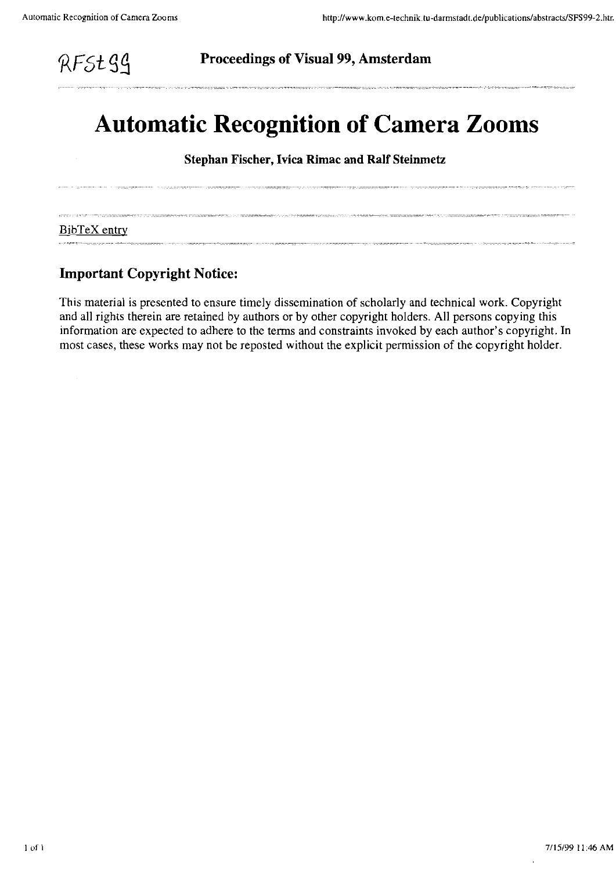

RF5t91; **Proceedings of Visual99, Amsterdam** 

# **Automatic Recognition of Camera Zooms**

**Stephan Fischer, Ivica Rimac and Ralf Steinmetz** 

BibTeX entry 

# **Important Copyright Notice:**

This material is presented to ensure timely dissemination of scholarly and technical work. Copyright and all rights therein are retained by authors or by other copyright holders. All persons copying this information are expected to adhere to the terms and constraints invoked by each author's copyright. In most cases, these works may not be reposted without the explicit perrnission of the copyright holder.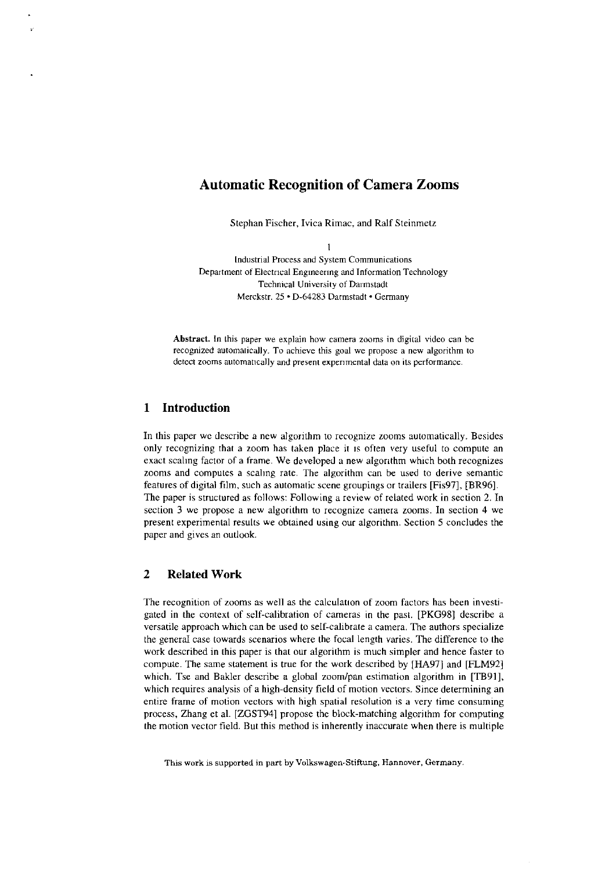# **Automatic Recognition of Camera Zooms**

Stephan Fischer, Ivica Rimac, and Ralf Steinmetz

1 Industrial Process and System Communications Department of Electrical Engineering and Information Technology Technical University of Darmstadt Merckstr. 25 · D-64283 Darmstadt · Germany

Abstract. In this paper we explain how camera zooms in digital video can be recognized automaiically. To achieve this goal we propose a new algorirhm to detect zooms automatically and present experimental data on its performance.

### **1 Introduction**

In this paper we describe a new algorithm to recognize zooms üutomatically. Besides only recognizing thai a Zoom has iaken place ii 1s ofien very useful to compute an exact scaling factor of a frame. We developed a new algorithm which both recognizes zooms and computes a scaling rate. The algorithm can be used to derive semantic features of digital film, such as automatic scene groupings or trailers [Fis97], [BR96]. The paper is structured as follows: Following a review of related work in section 2. In section **3** we propose a new algorithm to recognize cainera zooms. In section **4** we present experimental results we obtained using our algorithm. Section 5 concludes the paper and gives an outlook.

# **2 Related Work**

The recognition of zooms as well as the calculation of Zoom factors has been investigated in the context of self-calibration of cameras in the past. [PKG98] describe a versatile approach which can be used to self-calibrate a camera. The authors specialize the generaI case towards scenarios where the focal length varies. The difference to the work described in this paper is that our algorithm is much simpler and hence faster to compute. The same statement is true for the work described by [HA97] and [FLM92] which. Tse and Bakler describe a global zoom/pan estimation algorithm in [TB91], which requires analysis of a high-density field of motion vectors. Since determining an entire frame of motion vectors with high spatial resolution is a very time consuming process, Zhang et al. [ZGST94] propose the block-matching algorithm for computing the motion vector field. But this method is inherently inaccurate when there is multiple

**This work is supparted in part by Volkswagen-Stiftung, Hannover, Germany**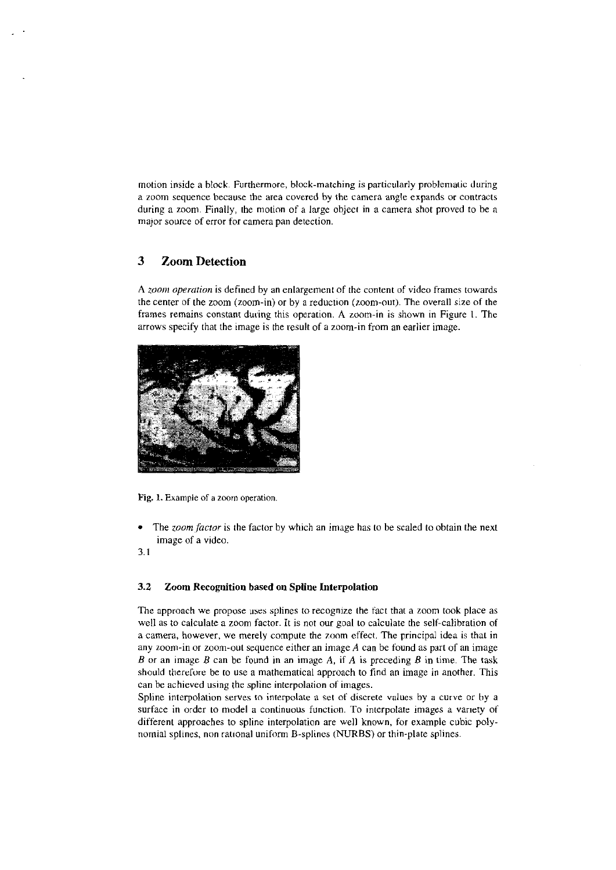motion inside a block. Furthermore, block-matching is particularly problematic during a Zoom sequence because the area covered by the camera angle expands or contracts during a zoom. Finally, the motion of a large object in a camera shot proved to be a major source of error for camera pan detection.

# **3 Zoom Detection**

*A rooni operation* is defined by an enlargement of the content of video frames towards the Center of ihe zoom (zoom-in) or by a reduction (zoom-out). The overall size of the frames remains constant during this operation. **A** zoom-in is shown in Figure **1.** The arrows specify that the image is the result of a zoom-in from an earlier image.



**Fig.** 1. Example of a Zoom operation.

- The *zoomfactor* is the factor by which an image has to be scaled to obtain the nexi image of a video.
- **3.1**

#### **3.2 Zoom Recognition based on Spline Interpolation**

The approach we propose uses splines to recognize the fact that a zoom took place as well as to calculate a zoom factor. It is not our goal to calculate the self-calibration of a camera, however, we merely compute the 70om effect. The principal idea is that in any zoom-in or zoom-out sequence either an image **A** can be found as part of an image B or an image B can be found in an image **A,** if **A** is preceding B in time. The task should therefore be to use a mathematical approach to find an image in another. This can be achieved using the spline interpolation of images.

Spline interpolation serves to interpolate a set of discrete values by a curve or by a surface in order to model a continuous function. To interpolate images a variety of different approaches to spline interpolation are well known, for example cubic polynomial splines, non rational uniform B-splines **(NURBS)** or thin-plate splines.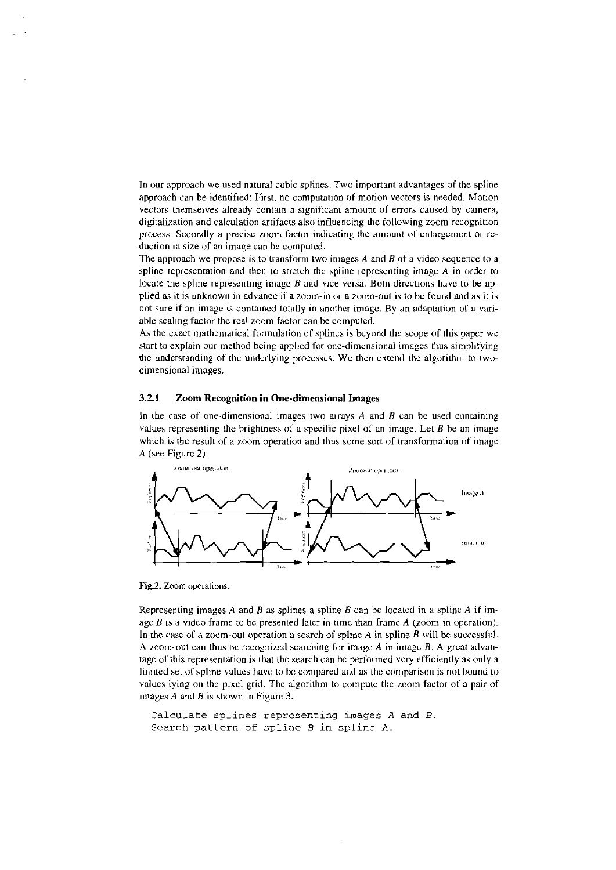In our approach we used natural cubic splines. Two important advantages of the spline approach can be identified: First. no computation of motion vectors is needed. Motion vectors themselves already contain a significant amount of errors caused by camera, digitalization and calculation artifacts also influencing the following zoom recognition process. Secondly **a** precise zoom factor indicating the amount of enlargement or reduction in size of an image can be computed.

The approach we propose is to transform two images  $A$  and  $B$  of a video sequence to a spline representation and then to stretch the spline representing image **A** in order to locare the spline representing image B and vice versa. Both directions have io be applied as it is unknown in advance if a zoom-in or a zoom-out is to be lound and as it is not sure if an image is contained totally in another image. By an adaptation of a variable scaling factor the real zoom factor can be computed.

As the exact mathematical formulation of splines is beyond the scope of this paper we start to explain our method being applied for one-dimensional images thus simplifying the understanding of the underlying processes. We then extend ihe algorithm to twodimensional images.

#### **3.2.1 Zoom Recognition in One-dimensional Images**

In the case of one-dimensional images two airays  $A$  and  $B$  can be used containing values representing the brightness of a specific pixel of an image. Let  $B$  be an image which is the result of a zoom operation and thus some sort of transformation of image A (see Figure **2).** 



**Fig.2.** Zoom operations.

Representing images A and B as splines a spline B can be located in a spline A if image B is a video frame to be presented larer in time than frame **A** (zoom-in operation). In the case of a zoom-out operation **a** search of spline **A** in spIine B will be successful. A zoom-out can thus he recognized searching for image **A** in image B. **A** grear advantage of this representation is that the search can be performed very efficiently as only a limited ser of spline values have to be compared and as the comparison is not bound to values lying on the pixel grid. The algorithm to compute the zoom factor of a pair of images  $A$  and  $B$  is shown in Figure 3.

```
Calculate splines representing images A and B 
Search pattern of spline B in spline A.
```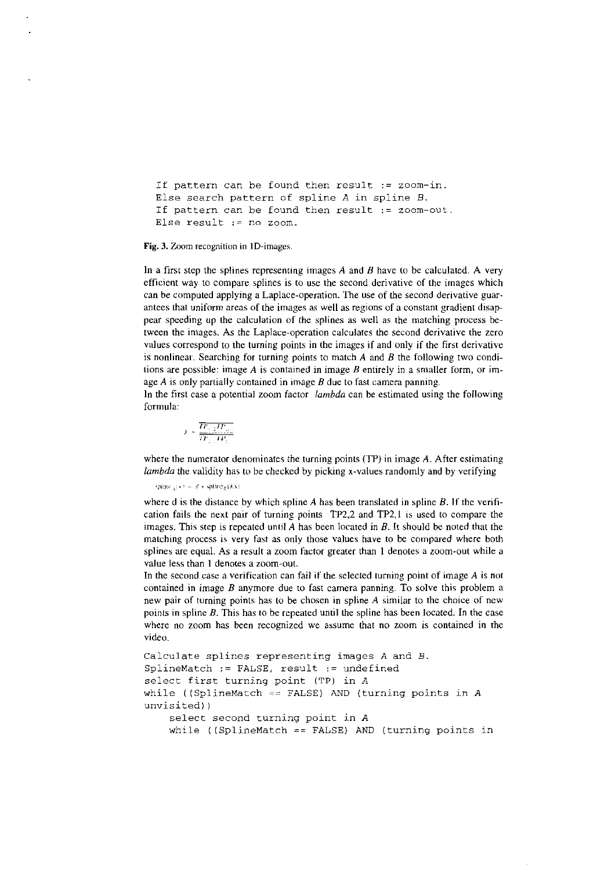```
If pattern can be found then result := zoom-in. 
Else search pattern of spline A in spline B. 
If pattern can be found then result := zoom-out 
Else result := no zoom.
```
**Fig. 3.** Zoom recognition in ID-images

In a first step the splines representing images *A* and B have to be calculated. A very efficient way to compare splines is to use the second derivative of the images which can be computed applying a Laplace-operation. The use of the second derivative guarantees that uniform areas of the images as well as regions of a constant gradient disappear speeding **up** the calculation of the splines as well as the matching process between the images. As the Laplace-operation calculates the second derivative the zero values correspond to the turning points in the images if and only if the first derivative is nonlinear. Searching for turning points to match *A* and *B* the following two condilions are possible: image *A* is contained in image B entirely in a snialler form, or image *A* is only partially contained in image B due to fast camera panning

In the Erst case a potential Zoom factor *Iambda* can he estimated using the following formula:

$$
\lambda = \frac{\overline{H^p_{\pm,2}H^p_{\pm,1}}}{\overline{H^p_{\pm,2}H^p_{\pm,1}}}
$$

where the numerator denominates the turning points (TP) in image *A*. After estimating *lambda* the validity has to be checked by picking x-values randomly and by verifying

 $\text{spins}_A(x) = d \times \text{spins}_B (kx)$ 

where d is the distance by which spline  $A$  has been translated in spline  $B$ . If the verification fails ihe next pair of turning points TP2,2 and TP2,l is used to compare the images. This step is repeated uni11 *A* has heen located in B. It should **be** noted that the matching process is very fast as only those values have to be compared where both splines are equal. As a result a Zoom factor greater than I denotes a zoom-out whilc a value less than **1** denotes a zoom-out.

In the second case a verification can fail if the selected turning point of image *A* is not contained in image  $B$  anymore due to fast camera panning. To solve this problem a new pair of turning points has to be chosen in spline *A* similar to the choice of new points in spline B. This has to be repeated uniil the spline has heen located. In the case where no Zoom has been recognized we assume that no zoom is contained in rhe video.

```
Calculate splines representing images A and B. 
SplineMatch := FALSE, result := undefined 
select first turning point (TP) in A 
while ((SplineMatch == FALSE) AND (turning points in A 
unvisited)) 
    select second turning point in A 
    while ((SplineMatch == FALSE) AND (turning points in
```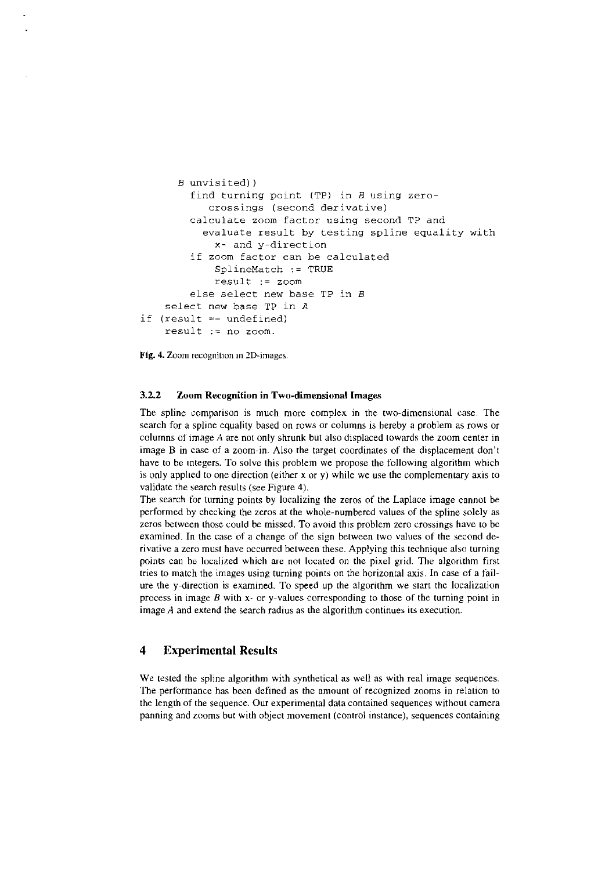```
B unvisited) ) 
        find turning point (TP) in B using zero-
           crossings (second derivative) 
        calculate Zoom factor using second TP and 
          evaluate result by testing spline equality with 
            X- and y-direction 
        if Zoom factor can be calculated 
            SplineMatch := TRUE 
            result := Zoom 
        else select new base TP in B 
    select new base TP in A 
if (result == undefined) 
    result := no zoom.
```
**Fig.** 4. Zoom recognition in ZD-images

#### **3.2.2 Zoom Recognition in Two-dimensional Images**

The spline comparison is much more complex in the two-dimensional case. The search for a spline equality based on rows or columns is hereby a prohlem as rows or columns of image *A* are not only shrunk but also displaced towards the zoom center in image B in case of a zoom-in. Also the target coordinates of the displacement don't have to be integers. To solve this problem we propose the following algorithm which is only applied to one direction (either  $x$  or  $y$ ) while we use the complementary axis to validate the search results (see Figure 4).

The search for turning points by localizing the zeros of the Laplace image cannot be performed by checking the zeros at the whole-numbered values of the spline solely as zeros between those could be missed. To avoid this problem zero crossings have to be examined. In the case of a change of the sign between two values of the second derivative a zero must have occurred between these. Applying this technique also turning points can be localized which are not located on the pixel grid. The algorithm first tries to match rhe images using turning points on the horizontal axis. In case of a failure the y-direction is examined. To speed up the algorithm we start the localization process in image  $B$  with x- or y-values corresponding to those of the turning point in image A and extend the search radius as the algorithm continues its execution.

# **4 Experimental Results**

We tested the spline algorithm with synthetical as well as with real image sequences. The performance has been defined as the amount of recognized Zooms in relaiion to the length of the sequence. Our experimental data contained sequences without camera panning and zooms but with object movement (control instance), sequences containing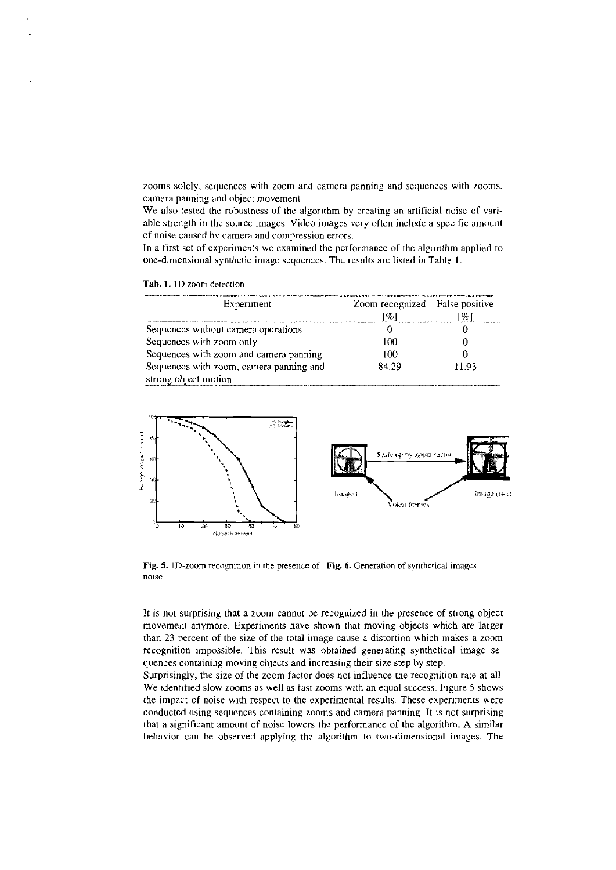zooms solely, sequences with zoom and camera panning and sequences with zooms, camera panning and object movement.

We also tested the robustness of the algorithm by creating an artificial noise of variable strength in the source images. Video images very often include a specific amount of noise caused by camera and compression errors.

In a first set of experiments we examined the performance of the algorithm applied to one-dimensional synthetic image sequences. The results are listed in Table 1.

|  |  | Tab. 1. 1D zoom detection                                                                                     |
|--|--|---------------------------------------------------------------------------------------------------------------|
|  |  | 0) 404-0040 (2004) and the concern of the form results and with the restriction of a statement of the concern |

| Experiment                              | Zoom recognized False positive |       |  |
|-----------------------------------------|--------------------------------|-------|--|
|                                         | [%                             | %`    |  |
| Sequences without camera operations     |                                |       |  |
| Sequences with zoom only                | 100                            |       |  |
| Sequences with zoom and camera panning  | 100                            |       |  |
| Sequences with zoom, camera panning and | 84.79                          | 11.93 |  |
| strong object motion                    |                                |       |  |



Fig. 5. 1D-zoom recognition in the presence of Fig. 6. Generation of synthetical images noise

It is not surprising that a Zoom cannot be recognized in ihe presence of strong object movement anymore. Experiments have shown that moving objects which are larger than 23 percent of the size of the total iinage cause a distortion which makes a Zoom recognition impossible. This result was obtained generating synthetical image sequences containing moving objects and increasing their size step by step.

Surprisingly, the size of the zoom factor does not influence the recognition rate at all. We identified slow Zooms as welI as fast zooms with an equal success. Figure *5* shows the impact of noise with respect to the experimental results. These experiments were conducted using sequences containing zooms and camera panning. It is not surprising that **a** significant amount of noise lowers the performance of the algorithm. A similar behavior can be observed applying the algorithm to two-dimensional images. The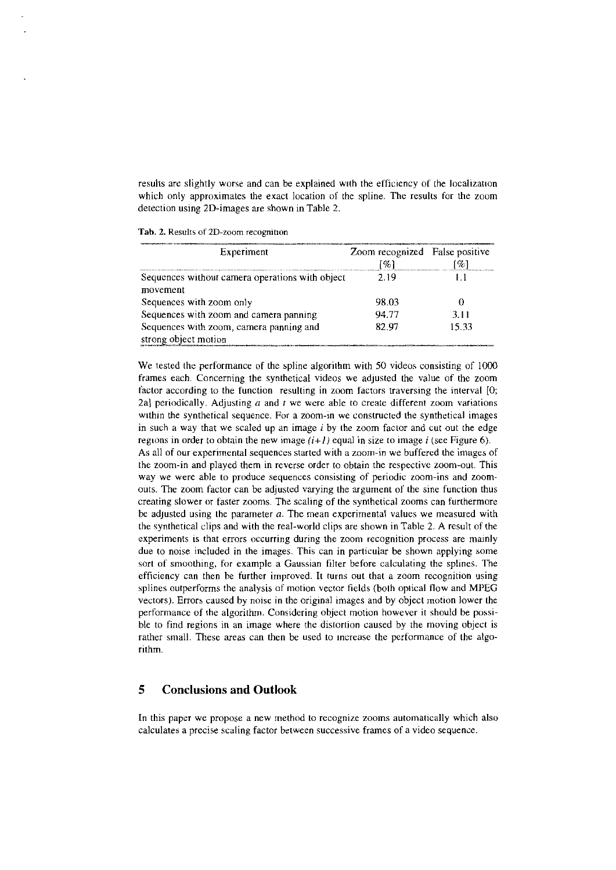results are slightly worse and can be explained with the efficiency of the localization which only approximates the exact location of the spline. The results for the zoom detection using 2D-images are shown in Table 2.<br> **Tab. 2.** Results of 2D-zoom recognition<br>
Experiment **P-2000** Recognized False positive

|  |  |  |  |  | Tab. 2. Results of 2D-zoom recognition |
|--|--|--|--|--|----------------------------------------|
|--|--|--|--|--|----------------------------------------|

| Experiment                                      | Zoom recognized False positive<br>$\mathcal{G}_0$ |       |
|-------------------------------------------------|---------------------------------------------------|-------|
| Sequences without camera operations with object | 2.19                                              |       |
| movement                                        |                                                   |       |
| Sequences with zoom only                        | 98.03                                             |       |
| Sequences with zoom and camera panning          | 94.77                                             | 3.11  |
| Sequences with zoom, camera panning and         | 82.97                                             | 15.33 |
| strong object motion                            |                                                   |       |

We tested the performance of the spline algorithm with 50 videos consisting of  $1000$ frames each. Concerning the synthetical videos we adjusied the value of the Zoom factor according to the function resulting in zoom factors traversing the interval [0; 2a] periodically. Adjusting  $a$  and  $t$  we were able to create different zoom variations within the synthetical sequence. For a zoom-in we constructed the synthetical images in such a way that we scaled up an image  $i$  by the zoom factor and cut out the edge regions in order to obtain the new image  $(i+1)$  equal in size to image *i* (see Figure 6). As all of our experimental sequences started with a zoom-in we buffered the images of the zoom-in and played them in reverse order to obtain the respective zoom-out. This way we were ahle to produce sequences consisting of periodic zoom-ins and zoomouts. The Zoom factor can be adjusted varying the argument of the sine function thus creating slower or faster zooms. The scaling of ihe synthetical zooms can furthermore be adjusted using the parameter *a*. The mean experimental values we measured with the synthetical clips and with the real-world clips are shown in Table 2. A result of the experiments is that errors occurring during the Zoom recognition process are mainly due to noise included in the images. This can in particular be shown applying some sort of smoothing. for example a Gaussian filter before calculating the splines. The efficiency can then he further improved. It turns out thai a zoom recognition using splines outperiorms the analysis of motion vector fields (hoth optical tlow and MPEG vectors). Errors caused hy noise in the original images and by objeci motion lower the performance of the algorithm. Considering ohject rnotion however it should **be** possible to find regions in an image where the distortion caused by the moving ohject is rather small. These areas can then be used to increase the performance of ihe algorithm.

# **5 Conclusions and Outlook**

In this paper we propose a new method to recognize zooms auromatically which also calculates a precise scaling factor between successive frames of a video sequence.